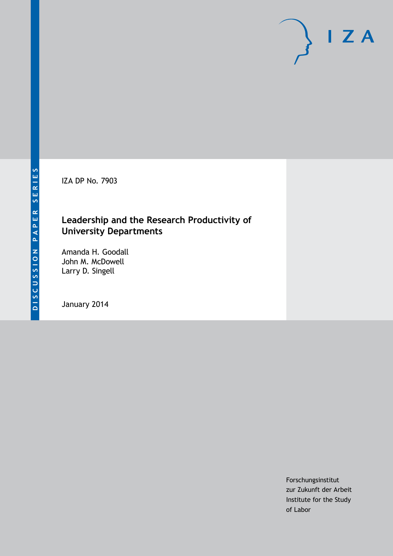IZA DP No. 7903

## **Leadership and the Research Productivity of University Departments**

Amanda H. Goodall John M. McDowell Larry D. Singell

January 2014

Forschungsinstitut zur Zukunft der Arbeit Institute for the Study of Labor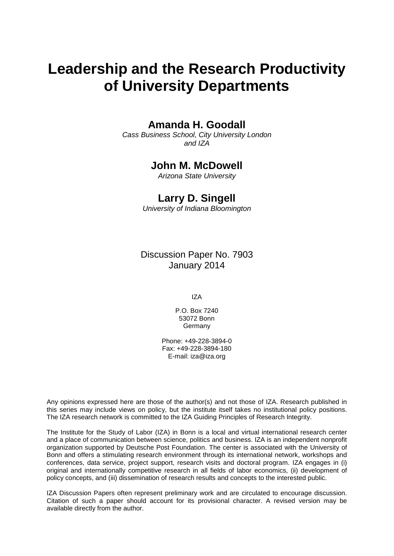# **Leadership and the Research Productivity of University Departments**

## **Amanda H. Goodall**

*Cass Business School, City University London and IZA*

## **John M. McDowell**

*Arizona State University*

## **Larry D. Singell**

*University of Indiana Bloomington*

Discussion Paper No. 7903 January 2014

IZA

P.O. Box 7240 53072 Bonn Germany

Phone: +49-228-3894-0 Fax: +49-228-3894-180 E-mail: [iza@iza.org](mailto:iza@iza.org)

Any opinions expressed here are those of the author(s) and not those of IZA. Research published in this series may include views on policy, but the institute itself takes no institutional policy positions. The IZA research network is committed to the IZA Guiding Principles of Research Integrity.

The Institute for the Study of Labor (IZA) in Bonn is a local and virtual international research center and a place of communication between science, politics and business. IZA is an independent nonprofit organization supported by Deutsche Post Foundation. The center is associated with the University of Bonn and offers a stimulating research environment through its international network, workshops and conferences, data service, project support, research visits and doctoral program. IZA engages in (i) original and internationally competitive research in all fields of labor economics, (ii) development of policy concepts, and (iii) dissemination of research results and concepts to the interested public.

<span id="page-1-0"></span>IZA Discussion Papers often represent preliminary work and are circulated to encourage discussion. Citation of such a paper should account for its provisional character. A revised version may be available directly from the author.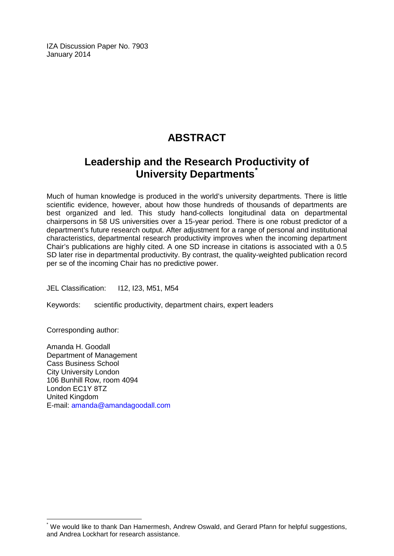IZA Discussion Paper No. 7903 January 2014

## **ABSTRACT**

## **Leadership and the Research Productivity of University Departments[\\*](#page-1-0)**

Much of human knowledge is produced in the world's university departments. There is little scientific evidence, however, about how those hundreds of thousands of departments are best organized and led. This study hand-collects longitudinal data on departmental chairpersons in 58 US universities over a 15-year period. There is one robust predictor of a department's future research output. After adjustment for a range of personal and institutional characteristics, departmental research productivity improves when the incoming department Chair's publications are highly cited. A one SD increase in citations is associated with a 0.5 SD later rise in departmental productivity. By contrast, the quality-weighted publication record per se of the incoming Chair has no predictive power.

JEL Classification: I12, I23, M51, M54

Keywords: scientific productivity, department chairs, expert leaders

Corresponding author:

Amanda H. Goodall Department of Management Cass Business School City University London 106 Bunhill Row, room 4094 London EC1Y 8TZ United Kingdom E-mail: [amanda@amandagoodall.com](mailto:amanda@amandagoodall.com)

We would like to thank Dan Hamermesh, Andrew Oswald, and Gerard Pfann for helpful suggestions, and Andrea Lockhart for research assistance.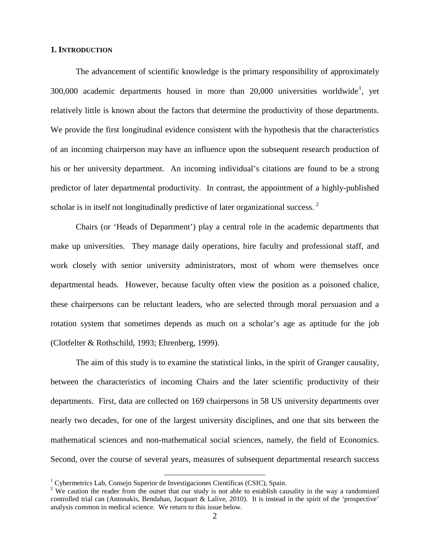#### **1. INTRODUCTION**

The advancement of scientific knowledge is the primary responsibility of approximately 300,000 academic departments housed in more than  $20,000$  universities worldwide<sup>1</sup>, yet relatively little is known about the factors that determine the productivity of those departments. We provide the first longitudinal evidence consistent with the hypothesis that the characteristics of an incoming chairperson may have an influence upon the subsequent research production of his or her university department. An incoming individual's citations are found to be a strong predictor of later departmental productivity. In contrast, the appointment of a highly-published scholar is in itself not longitudinally predictive of later organizational success.  $2$ 

Chairs (or 'Heads of Department') play a central role in the academic departments that make up universities. They manage daily operations, hire faculty and professional staff, and work closely with senior university administrators, most of whom were themselves once departmental heads. However, because faculty often view the position as a poisoned chalice, these chairpersons can be reluctant leaders, who are selected through moral persuasion and a rotation system that sometimes depends as much on a scholar's age as aptitude for the job (Clotfelter & Rothschild, 1993; Ehrenberg, 1999).

The aim of this study is to examine the statistical links, in the spirit of Granger causality, between the characteristics of incoming Chairs and the later scientific productivity of their departments. First, data are collected on 169 chairpersons in 58 US university departments over nearly two decades, for one of the largest university disciplines, and one that sits between the mathematical sciences and non-mathematical social sciences, namely, the field of Economics. Second, over the course of several years, measures of subsequent departmental research success

<sup>&</sup>lt;sup>1</sup> Cybermetrics Lab, Consejo Superior de Investigaciones Científicas (CSIC), Spain.

<span id="page-3-1"></span><span id="page-3-0"></span><sup>&</sup>lt;sup>2</sup> We caution the reader from the outset that our study is not able to establish causality in the way a randomized controlled trial can (Antonakis, Bendahan, Jacquart & Lalive, 2010). It is instead in the spirit of the 'prospective' analysis common in medical science. We return to this issue below.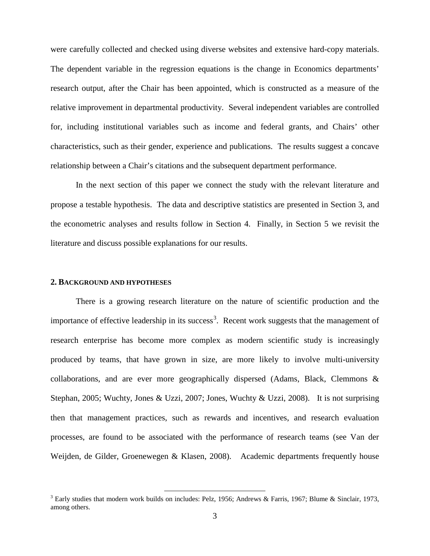were carefully collected and checked using diverse websites and extensive hard-copy materials. The dependent variable in the regression equations is the change in Economics departments' research output, after the Chair has been appointed, which is constructed as a measure of the relative improvement in departmental productivity. Several independent variables are controlled for, including institutional variables such as income and federal grants, and Chairs' other characteristics, such as their gender, experience and publications. The results suggest a concave relationship between a Chair's citations and the subsequent department performance.

In the next section of this paper we connect the study with the relevant literature and propose a testable hypothesis. The data and descriptive statistics are presented in Section 3, and the econometric analyses and results follow in Section 4. Finally, in Section 5 we revisit the literature and discuss possible explanations for our results.

#### **2. BACKGROUND AND HYPOTHESES**

There is a growing research literature on the nature of scientific production and the importance of effective leadership in its success<sup>[3](#page-3-1)</sup>. Recent work suggests that the management of research enterprise has become more complex as modern scientific study is increasingly produced by teams, that have grown in size, are more likely to involve multi-university collaborations, and are ever more geographically dispersed (Adams, Black, Clemmons & Stephan, 2005; Wuchty, Jones & Uzzi, 2007; Jones, Wuchty & Uzzi, 2008). It is not surprising then that management practices, such as rewards and incentives, and research evaluation processes, are found to be associated with the performance of research teams (see Van der Weijden, de Gilder, Groenewegen & Klasen, 2008). Academic departments frequently house

<span id="page-4-0"></span><sup>&</sup>lt;sup>3</sup> Early studies that modern work builds on includes: Pelz, 1956; Andrews & Farris, 1967; Blume & Sinclair, 1973, among others.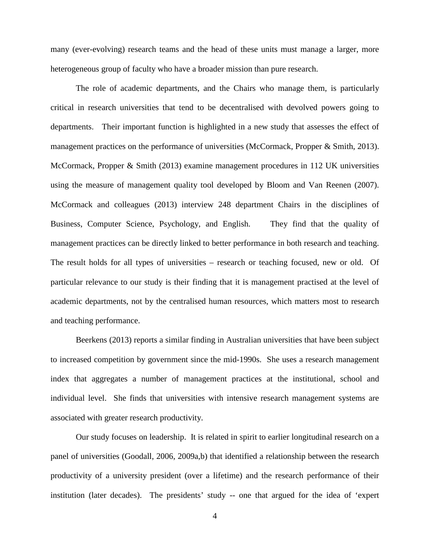many (ever-evolving) research teams and the head of these units must manage a larger, more heterogeneous group of faculty who have a broader mission than pure research.

The role of academic departments, and the Chairs who manage them, is particularly critical in research universities that tend to be decentralised with devolved powers going to departments. Their important function is highlighted in a new study that assesses the effect of management practices on the performance of universities (McCormack, Propper & Smith, 2013). McCormack, Propper & Smith (2013) examine management procedures in 112 UK universities using the measure of management quality tool developed by Bloom and Van Reenen (2007). McCormack and colleagues (2013) interview 248 department Chairs in the disciplines of Business, Computer Science, Psychology, and English. They find that the quality of management practices can be directly linked to better performance in both research and teaching. The result holds for all types of universities – research or teaching focused, new or old. Of particular relevance to our study is their finding that it is management practised at the level of academic departments, not by the centralised human resources, which matters most to research and teaching performance.

Beerkens (2013) reports a similar finding in Australian universities that have been subject to increased competition by government since the mid-1990s. She uses a research management index that aggregates a number of management practices at the institutional, school and individual level. She finds that universities with intensive research management systems are associated with greater research productivity.

Our study focuses on leadership. It is related in spirit to earlier longitudinal research on a panel of universities (Goodall, 2006, 2009a,b) that identified a relationship between the research productivity of a university president (over a lifetime) and the research performance of their institution (later decades). The presidents' study -- one that argued for the idea of 'expert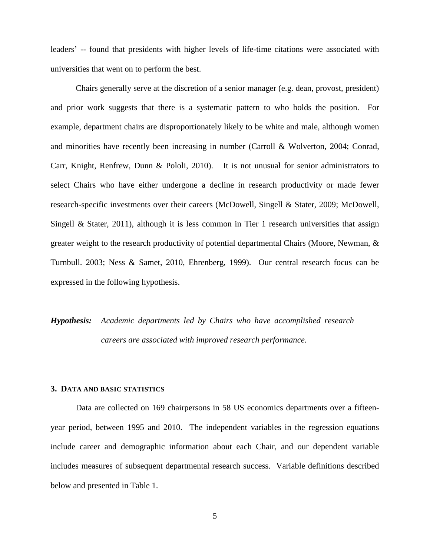leaders' -- found that presidents with higher levels of life-time citations were associated with universities that went on to perform the best.

Chairs generally serve at the discretion of a senior manager (e.g. dean, provost, president) and prior work suggests that there is a systematic pattern to who holds the position. For example, department chairs are disproportionately likely to be white and male, although women and minorities have recently been increasing in number (Carroll & Wolverton, 2004; Conrad, Carr, Knight, Renfrew, Dunn & Pololi, 2010). It is not unusual for senior administrators to select Chairs who have either undergone a decline in research productivity or made fewer research-specific investments over their careers (McDowell, Singell & Stater, 2009; McDowell, Singell & Stater, 2011), although it is less common in Tier 1 research universities that assign greater weight to the research productivity of potential departmental Chairs (Moore, Newman, & Turnbull. 2003; Ness & Samet, 2010, Ehrenberg, 1999). Our central research focus can be expressed in the following hypothesis.

*Hypothesis: Academic departments led by Chairs who have accomplished research careers are associated with improved research performance.*

#### **3. DATA AND BASIC STATISTICS**

Data are collected on 169 chairpersons in 58 US economics departments over a fifteenyear period, between 1995 and 2010. The independent variables in the regression equations include career and demographic information about each Chair, and our dependent variable includes measures of subsequent departmental research success. Variable definitions described below and presented in Table 1.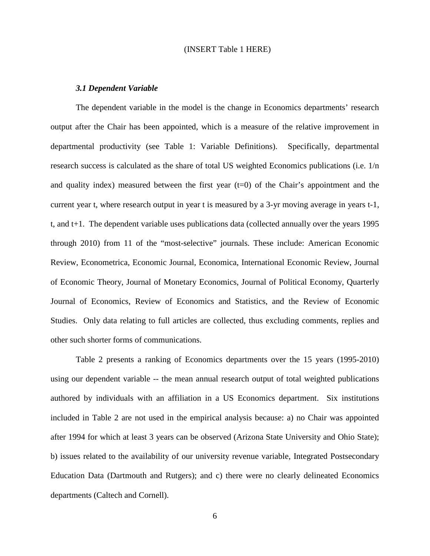#### (INSERT Table 1 HERE)

#### *3.1 Dependent Variable*

The dependent variable in the model is the change in Economics departments' research output after the Chair has been appointed, which is a measure of the relative improvement in departmental productivity (see Table 1: Variable Definitions). Specifically, departmental research success is calculated as the share of total US weighted Economics publications (i.e. 1/n and quality index) measured between the first year  $(t=0)$  of the Chair's appointment and the current year t, where research output in year t is measured by a 3-yr moving average in years t-1, t, and t+1. The dependent variable uses publications data (collected annually over the years 1995 through 2010) from 11 of the "most-selective" journals. These include: American Economic Review, Econometrica, Economic Journal, Economica, International Economic Review, Journal of Economic Theory, Journal of Monetary Economics, Journal of Political Economy, Quarterly Journal of Economics, Review of Economics and Statistics, and the Review of Economic Studies. Only data relating to full articles are collected, thus excluding comments, replies and other such shorter forms of communications.

Table 2 presents a ranking of Economics departments over the 15 years (1995-2010) using our dependent variable -- the mean annual research output of total weighted publications authored by individuals with an affiliation in a US Economics department. Six institutions included in Table 2 are not used in the empirical analysis because: a) no Chair was appointed after 1994 for which at least 3 years can be observed (Arizona State University and Ohio State); b) issues related to the availability of our university revenue variable, Integrated Postsecondary Education Data (Dartmouth and Rutgers); and c) there were no clearly delineated Economics departments (Caltech and Cornell).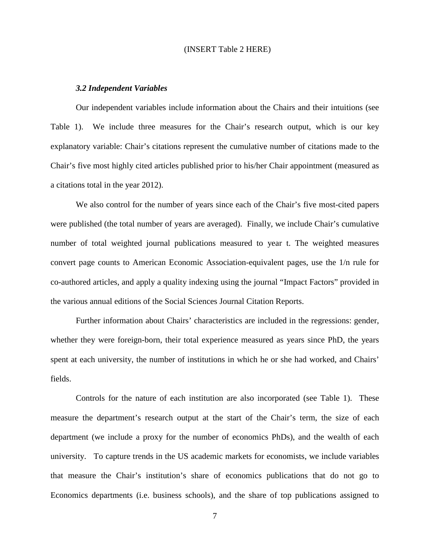#### (INSERT Table 2 HERE)

#### *3.2 Independent Variables*

Our independent variables include information about the Chairs and their intuitions (see Table 1). We include three measures for the Chair's research output, which is our key explanatory variable: Chair's citations represent the cumulative number of citations made to the Chair's five most highly cited articles published prior to his/her Chair appointment (measured as a citations total in the year 2012).

We also control for the number of years since each of the Chair's five most-cited papers were published (the total number of years are averaged). Finally, we include Chair's cumulative number of total weighted journal publications measured to year t. The weighted measures convert page counts to American Economic Association-equivalent pages, use the 1/n rule for co-authored articles, and apply a quality indexing using the journal "Impact Factors" provided in the various annual editions of the Social Sciences Journal Citation Reports.

Further information about Chairs' characteristics are included in the regressions: gender, whether they were foreign-born, their total experience measured as years since PhD, the years spent at each university, the number of institutions in which he or she had worked, and Chairs' fields.

Controls for the nature of each institution are also incorporated (see Table 1). These measure the department's research output at the start of the Chair's term, the size of each department (we include a proxy for the number of economics PhDs), and the wealth of each university. To capture trends in the US academic markets for economists, we include variables that measure the Chair's institution's share of economics publications that do not go to Economics departments (i.e. business schools), and the share of top publications assigned to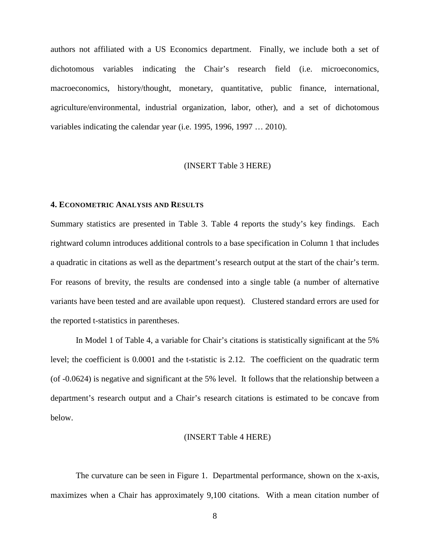authors not affiliated with a US Economics department. Finally, we include both a set of dichotomous variables indicating the Chair's research field (i.e. microeconomics, macroeconomics, history/thought, monetary, quantitative, public finance, international, agriculture/environmental, industrial organization, labor, other), and a set of dichotomous variables indicating the calendar year (i.e. 1995, 1996, 1997 … 2010).

#### (INSERT Table 3 HERE)

#### **4. ECONOMETRIC ANALYSIS AND RESULTS**

Summary statistics are presented in Table 3. Table 4 reports the study's key findings. Each rightward column introduces additional controls to a base specification in Column 1 that includes a quadratic in citations as well as the department's research output at the start of the chair's term. For reasons of brevity, the results are condensed into a single table (a number of alternative variants have been tested and are available upon request). Clustered standard errors are used for the reported t-statistics in parentheses.

In Model 1 of Table 4, a variable for Chair's citations is statistically significant at the 5% level; the coefficient is 0.0001 and the t-statistic is 2.12. The coefficient on the quadratic term (of -0.0624) is negative and significant at the 5% level. It follows that the relationship between a department's research output and a Chair's research citations is estimated to be concave from below.

#### (INSERT Table 4 HERE)

The curvature can be seen in Figure 1. Departmental performance, shown on the x-axis, maximizes when a Chair has approximately 9,100 citations. With a mean citation number of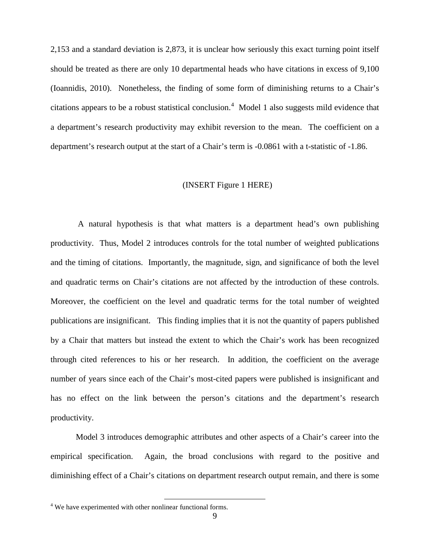2,153 and a standard deviation is 2,873, it is unclear how seriously this exact turning point itself should be treated as there are only 10 departmental heads who have citations in excess of 9,100 (Ioannidis, 2010). Nonetheless, the finding of some form of diminishing returns to a Chair's citations appears to be a robust statistical conclusion.<sup>[4](#page-4-0)</sup> Model 1 also suggests mild evidence that a department's research productivity may exhibit reversion to the mean. The coefficient on a department's research output at the start of a Chair's term is -0.0861 with a t-statistic of -1.86.

#### (INSERT Figure 1 HERE)

A natural hypothesis is that what matters is a department head's own publishing productivity. Thus, Model 2 introduces controls for the total number of weighted publications and the timing of citations. Importantly, the magnitude, sign, and significance of both the level and quadratic terms on Chair's citations are not affected by the introduction of these controls. Moreover, the coefficient on the level and quadratic terms for the total number of weighted publications are insignificant. This finding implies that it is not the quantity of papers published by a Chair that matters but instead the extent to which the Chair's work has been recognized through cited references to his or her research. In addition, the coefficient on the average number of years since each of the Chair's most-cited papers were published is insignificant and has no effect on the link between the person's citations and the department's research productivity.

Model 3 introduces demographic attributes and other aspects of a Chair's career into the empirical specification. Again, the broad conclusions with regard to the positive and diminishing effect of a Chair's citations on department research output remain, and there is some

<sup>&</sup>lt;sup>4</sup> We have experimented with other nonlinear functional forms.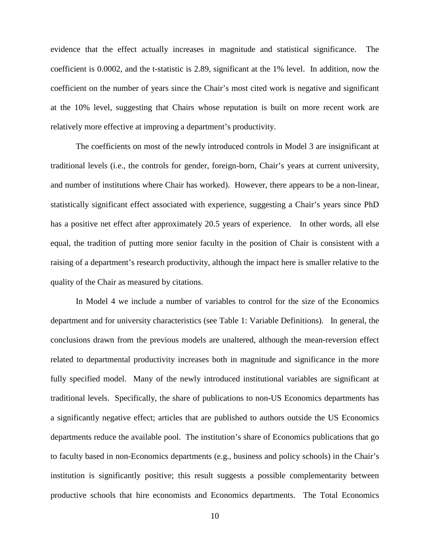evidence that the effect actually increases in magnitude and statistical significance. The coefficient is 0.0002, and the t-statistic is 2.89, significant at the 1% level. In addition, now the coefficient on the number of years since the Chair's most cited work is negative and significant at the 10% level, suggesting that Chairs whose reputation is built on more recent work are relatively more effective at improving a department's productivity.

The coefficients on most of the newly introduced controls in Model 3 are insignificant at traditional levels (i.e., the controls for gender, foreign-born, Chair's years at current university, and number of institutions where Chair has worked). However, there appears to be a non-linear, statistically significant effect associated with experience, suggesting a Chair's years since PhD has a positive net effect after approximately 20.5 years of experience. In other words, all else equal, the tradition of putting more senior faculty in the position of Chair is consistent with a raising of a department's research productivity, although the impact here is smaller relative to the quality of the Chair as measured by citations.

In Model 4 we include a number of variables to control for the size of the Economics department and for university characteristics (see Table 1: Variable Definitions). In general, the conclusions drawn from the previous models are unaltered, although the mean-reversion effect related to departmental productivity increases both in magnitude and significance in the more fully specified model. Many of the newly introduced institutional variables are significant at traditional levels. Specifically, the share of publications to non-US Economics departments has a significantly negative effect; articles that are published to authors outside the US Economics departments reduce the available pool. The institution's share of Economics publications that go to faculty based in non-Economics departments (e.g., business and policy schools) in the Chair's institution is significantly positive; this result suggests a possible complementarity between productive schools that hire economists and Economics departments. The Total Economics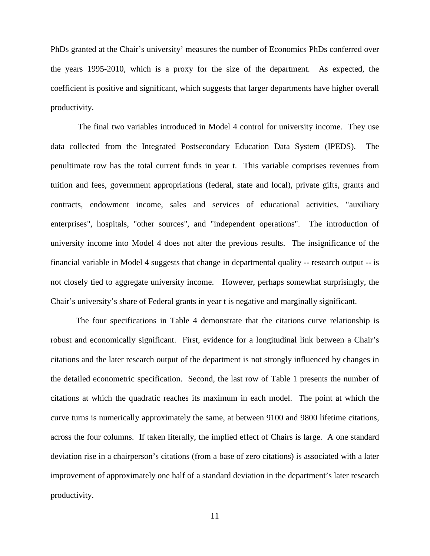PhDs granted at the Chair's university' measures the number of Economics PhDs conferred over the years 1995-2010, which is a proxy for the size of the department. As expected, the coefficient is positive and significant, which suggests that larger departments have higher overall productivity.

The final two variables introduced in Model 4 control for university income. They use data collected from the Integrated Postsecondary Education Data System (IPEDS). The penultimate row has the total current funds in year t. This variable comprises revenues from tuition and fees, government appropriations (federal, state and local), private gifts, grants and contracts, endowment income, sales and services of educational activities, "auxiliary enterprises", hospitals, "other sources", and "independent operations". The introduction of university income into Model 4 does not alter the previous results. The insignificance of the financial variable in Model 4 suggests that change in departmental quality -- research output -- is not closely tied to aggregate university income. However, perhaps somewhat surprisingly, the Chair's university's share of Federal grants in year t is negative and marginally significant.

The four specifications in Table 4 demonstrate that the citations curve relationship is robust and economically significant. First, evidence for a longitudinal link between a Chair's citations and the later research output of the department is not strongly influenced by changes in the detailed econometric specification. Second, the last row of Table 1 presents the number of citations at which the quadratic reaches its maximum in each model. The point at which the curve turns is numerically approximately the same, at between 9100 and 9800 lifetime citations, across the four columns. If taken literally, the implied effect of Chairs is large. A one standard deviation rise in a chairperson's citations (from a base of zero citations) is associated with a later improvement of approximately one half of a standard deviation in the department's later research productivity.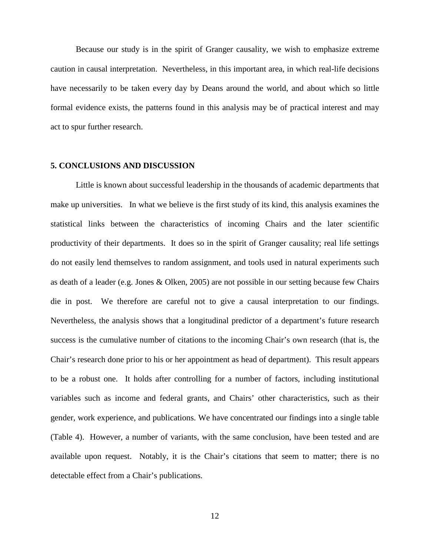Because our study is in the spirit of Granger causality, we wish to emphasize extreme caution in causal interpretation. Nevertheless, in this important area, in which real-life decisions have necessarily to be taken every day by Deans around the world, and about which so little formal evidence exists, the patterns found in this analysis may be of practical interest and may act to spur further research.

#### **5. CONCLUSIONS AND DISCUSSION**

Little is known about successful leadership in the thousands of academic departments that make up universities. In what we believe is the first study of its kind, this analysis examines the statistical links between the characteristics of incoming Chairs and the later scientific productivity of their departments. It does so in the spirit of Granger causality; real life settings do not easily lend themselves to random assignment, and tools used in natural experiments such as death of a leader (e.g. Jones & Olken, 2005) are not possible in our setting because few Chairs die in post. We therefore are careful not to give a causal interpretation to our findings. Nevertheless, the analysis shows that a longitudinal predictor of a department's future research success is the cumulative number of citations to the incoming Chair's own research (that is, the Chair's research done prior to his or her appointment as head of department). This result appears to be a robust one. It holds after controlling for a number of factors, including institutional variables such as income and federal grants, and Chairs' other characteristics, such as their gender, work experience, and publications. We have concentrated our findings into a single table (Table 4). However, a number of variants, with the same conclusion, have been tested and are available upon request. Notably, it is the Chair's citations that seem to matter; there is no detectable effect from a Chair's publications.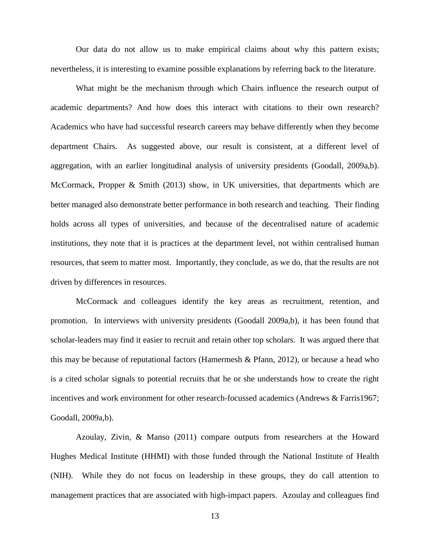Our data do not allow us to make empirical claims about why this pattern exists; nevertheless, it is interesting to examine possible explanations by referring back to the literature.

What might be the mechanism through which Chairs influence the research output of academic departments? And how does this interact with citations to their own research? Academics who have had successful research careers may behave differently when they become department Chairs. As suggested above, our result is consistent, at a different level of aggregation, with an earlier longitudinal analysis of university presidents (Goodall, 2009a,b). McCormack, Propper & Smith (2013) show, in UK universities, that departments which are better managed also demonstrate better performance in both research and teaching. Their finding holds across all types of universities, and because of the decentralised nature of academic institutions, they note that it is practices at the department level, not within centralised human resources, that seem to matter most. Importantly, they conclude, as we do, that the results are not driven by differences in resources.

McCormack and colleagues identify the key areas as recruitment, retention, and promotion. In interviews with university presidents (Goodall 2009a,b), it has been found that scholar-leaders may find it easier to recruit and retain other top scholars. It was argued there that this may be because of reputational factors (Hamermesh & Pfann, 2012), or because a head who is a cited scholar signals to potential recruits that he or she understands how to create the right incentives and work environment for other research-focussed academics (Andrews & Farris1967; Goodall, 2009a,b).

Azoulay, Zivin, & Manso (2011) compare outputs from researchers at the Howard Hughes Medical Institute (HHMI) with those funded through the National Institute of Health (NIH). While they do not focus on leadership in these groups, they do call attention to management practices that are associated with high-impact papers. Azoulay and colleagues find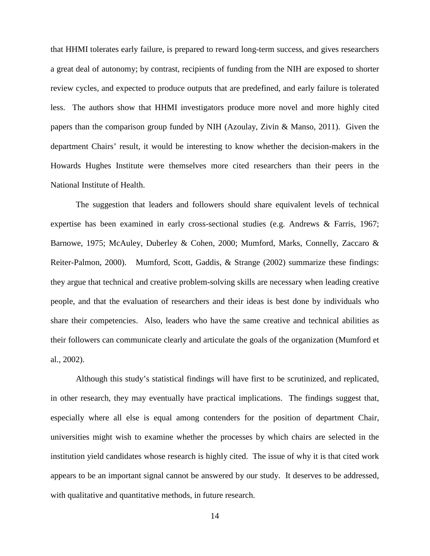that HHMI tolerates early failure, is prepared to reward long-term success, and gives researchers a great deal of autonomy; by contrast, recipients of funding from the NIH are exposed to shorter review cycles, and expected to produce outputs that are predefined, and early failure is tolerated less. The authors show that HHMI investigators produce more novel and more highly cited papers than the comparison group funded by NIH (Azoulay, Zivin & Manso, 2011). Given the department Chairs' result, it would be interesting to know whether the decision-makers in the Howards Hughes Institute were themselves more cited researchers than their peers in the National Institute of Health.

The suggestion that leaders and followers should share equivalent levels of technical expertise has been examined in early cross-sectional studies (e.g. Andrews & Farris, 1967; Barnowe, 1975; McAuley, Duberley & Cohen, 2000; Mumford, Marks, Connelly, Zaccaro & Reiter-Palmon, 2000). Mumford, Scott, Gaddis, & Strange (2002) summarize these findings: they argue that technical and creative problem-solving skills are necessary when leading creative people, and that the evaluation of researchers and their ideas is best done by individuals who share their competencies. Also, leaders who have the same creative and technical abilities as their followers can communicate clearly and articulate the goals of the organization (Mumford et al., 2002).

Although this study's statistical findings will have first to be scrutinized, and replicated, in other research, they may eventually have practical implications. The findings suggest that, especially where all else is equal among contenders for the position of department Chair, universities might wish to examine whether the processes by which chairs are selected in the institution yield candidates whose research is highly cited. The issue of why it is that cited work appears to be an important signal cannot be answered by our study. It deserves to be addressed, with qualitative and quantitative methods, in future research.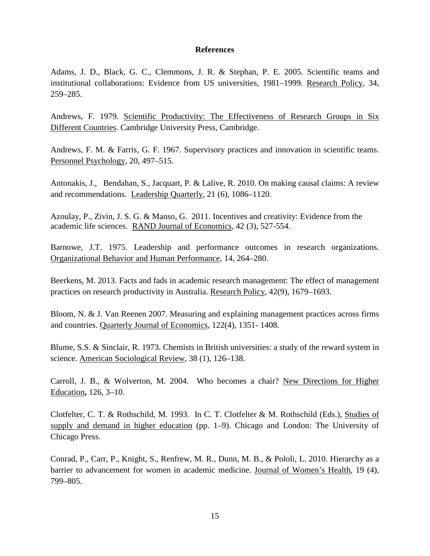#### **References**

Adams, J. D., Black, G. C., Clemmons, J. R. & Stephan, P. E. 2005. Scientific teams and institutional collaborations: Evidence from US universities, 1981–1999. Research Policy, 34, 259–285.

Andrews, F. 1979. Scientific Productivity: The Effectiveness of Research Groups in Six Different Countries. Cambridge University Press, Cambridge.

Andrews, F. M. & Farris, G. F. 1967. Supervisory practices and innovation in scientific teams. Personnel Psychology, 20, 497–515.

Antonakis, J., Bendahan, S., Jacquart, P. & Lalive, R. 2010. On making causal claims: A review and recommendations. Leadership Quarterly, 21 (6), 1086–1120.

Azoulay, P., Zivin, J. S. G. & Manso, G. 2011. Incentives and creativity: Evidence from the academic life sciences. RAND Journal of Economics, 42 (3), 527-554.

Barnowe, J.T. 1975. Leadership and performance outcomes in research organizations. Organizational Behavior and Human Performance, 14, 264–280.

Beerkens, M. 2013. Facts and fads in academic research management: The effect of management practices on research productivity in Australia. Research Policy, 42(9), 1679–1693.

Bloom, N. & J. Van Reenen 2007. Measuring and explaining management practices across firms and countries. Quarterly Journal of Economics, 122(4), 1351- 1408.

Blume, S.S. & Sinclair, R. 1973. Chemists in British universities: a study of the reward system in science. American Sociological Review, 38 (1), 126–138.

Carroll, J. B., & Wolverton, M. 2004. Who becomes a chair? New Directions for Higher Education**,** 126, 3–10.

Clotfelter, C. T. & Rothschild, M. 1993. In C. T. Clotfelter & M. Rothschild (Eds.), Studies of supply and demand in higher education (pp. 1–9). Chicago and London: The University of Chicago Press.

Conrad, P., Carr, P., Knight, S., Renfrew, M. R., Dunn, M. B., & Pololi, L. 2010. Hierarchy as a barrier to advancement for women in academic medicine. Journal of Women's Health, 19 (4), 799–805.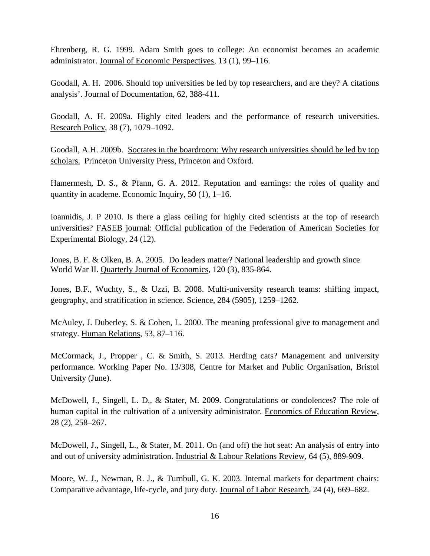Ehrenberg, R. G. 1999. Adam Smith goes to college: An economist becomes an academic administrator. Journal of Economic Perspectives, 13 (1), 99–116.

Goodall, A. H. 2006. Should top universities be led by top researchers, and are they? A citations analysis'. Journal of Documentation, 62, 388-411.

Goodall, A. H. 2009a. Highly cited leaders and the performance of research universities. Research Policy, 38 (7), 1079–1092.

Goodall, A.H. 2009b. Socrates in the boardroom: Why research universities should be led by top scholars. Princeton University Press, Princeton and Oxford.

Hamermesh, D. S., & Pfann, G. A. 2012. Reputation and earnings: the roles of quality and quantity in academe. Economic Inquiry, 50 (1), 1–16.

Ioannidis, J. P 2010. Is there a glass ceiling for highly cited scientists at the top of research universities? FASEB journal: Official publication of the Federation of American Societies for Experimental Biology, 24 (12).

Jones, B. F. & Olken, B. A. 2005. Do leaders matter? National leadership and growth since World War II. Quarterly Journal of Economics, 120 (3), 835-864.

Jones, B.F., Wuchty, S., & Uzzi, B. 2008. Multi-university research teams: shifting impact, geography, and stratification in science. Science, 284 (5905), 1259–1262.

McAuley, J. Duberley, S. & Cohen, L. 2000. The meaning professional give to management and strategy. Human Relations, 53, 87–116.

McCormack, J., Propper , C. & Smith, S. 2013. Herding cats? Management and university performance. Working Paper No. 13/308, Centre for Market and Public Organisation, Bristol University (June).

McDowell, J., Singell, L. D., & Stater, M. 2009. Congratulations or condolences? The role of human capital in the cultivation of a university administrator. Economics of Education Review, 28 (2), 258–267.

McDowell, J., Singell, L., & Stater, M. 2011. On (and off) the hot seat: An analysis of entry into and out of university administration. Industrial & Labour Relations Review, 64 (5), 889-909.

Moore, W. J., Newman, R. J., & Turnbull, G. K. 2003. Internal markets for department chairs: Comparative advantage, life-cycle, and jury duty. Journal of Labor Research, 24 (4), 669–682.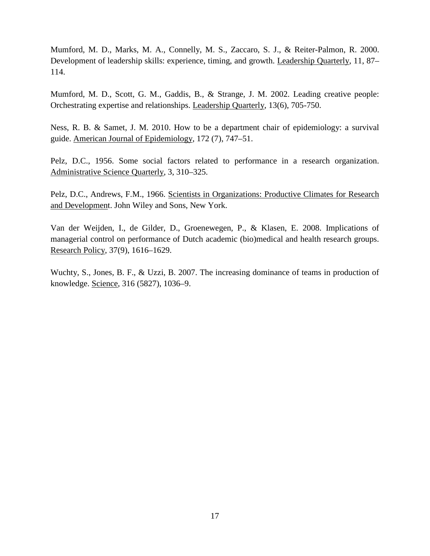Mumford, M. D., Marks, M. A., Connelly, M. S., Zaccaro, S. J., & Reiter-Palmon, R. 2000. Development of leadership skills: experience, timing, and growth. Leadership Quarterly, 11, 87– 114.

Mumford, M. D., Scott, G. M., Gaddis, B., & Strange, J. M. 2002. Leading creative people: Orchestrating expertise and relationships. Leadership Quarterly, 13(6), 705-750.

Ness, R. B. & Samet, J. M. 2010. How to be a department chair of epidemiology: a survival guide. American Journal of Epidemiology, 172 (7), 747–51.

Pelz, D.C., 1956. Some social factors related to performance in a research organization. Administrative Science Quarterly, 3, 310–325.

Pelz, D.C., Andrews, F.M., 1966. Scientists in Organizations: Productive Climates for Research and Development. John Wiley and Sons, New York.

Van der Weijden, I., de Gilder, D., Groenewegen, P., & Klasen, E. 2008. Implications of managerial control on performance of Dutch academic (bio)medical and health research groups. Research Policy, 37(9), 1616–1629.

Wuchty, S., Jones, B. F., & Uzzi, B. 2007. The increasing dominance of teams in production of knowledge. Science*,* 316 (5827), 1036–9.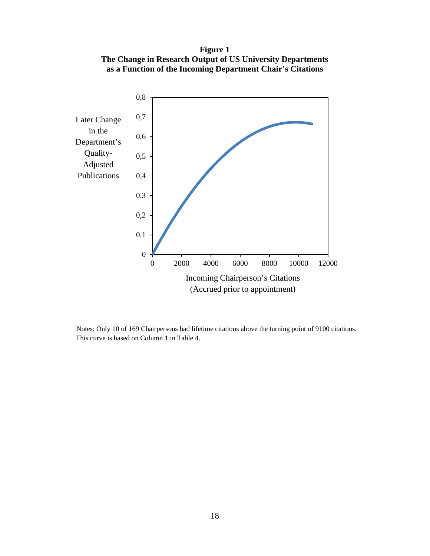**Figure 1 The Change in Research Output of US University Departments as a Function of the Incoming Department Chair's Citations**



 Notes: Only 10 of 169 Chairpersons had lifetime citations above the turning point of 9100 citations. This curve is based on Column 1 in Table 4.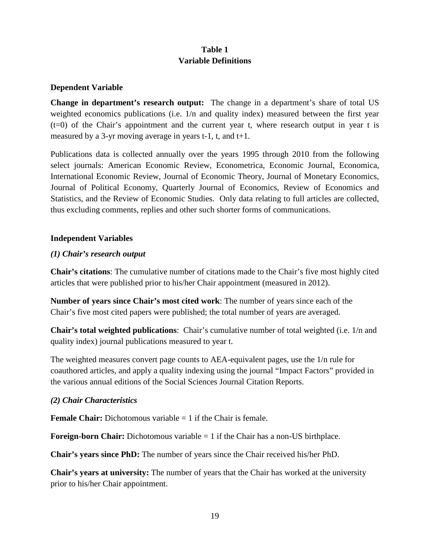## **Table 1 Variable Definitions**

### **Dependent Variable**

**Change in department's research output:** The change in a department's share of total US weighted economics publications (i.e. 1/n and quality index) measured between the first year (t=0) of the Chair's appointment and the current year t, where research output in year t is measured by a 3-yr moving average in years  $t-1$ ,  $t$ , and  $t+1$ .

Publications data is collected annually over the years 1995 through 2010 from the following select journals: American Economic Review, Econometrica, Economic Journal, Economica, International Economic Review, Journal of Economic Theory, Journal of Monetary Economics, Journal of Political Economy, Quarterly Journal of Economics, Review of Economics and Statistics, and the Review of Economic Studies. Only data relating to full articles are collected, thus excluding comments, replies and other such shorter forms of communications.

#### **Independent Variables**

### *(1) Chair's research output*

**Chair's citations**: The cumulative number of citations made to the Chair's five most highly cited articles that were published prior to his/her Chair appointment (measured in 2012).

**Number of years since Chair's most cited work**: The number of years since each of the Chair's five most cited papers were published; the total number of years are averaged.

**Chair's total weighted publications**: Chair's cumulative number of total weighted (i.e. 1/n and quality index) journal publications measured to year t.

The weighted measures convert page counts to AEA-equivalent pages, use the 1/n rule for coauthored articles, and apply a quality indexing using the journal "Impact Factors" provided in the various annual editions of the Social Sciences Journal Citation Reports.

### *(2) Chair Characteristics*

**Female Chair:** Dichotomous variable  $= 1$  if the Chair is female.

**Foreign-born Chair:** Dichotomous variable = 1 if the Chair has a non-US birthplace.

**Chair's years since PhD:** The number of years since the Chair received his/her PhD.

**Chair's years at university:** The number of years that the Chair has worked at the university prior to his/her Chair appointment.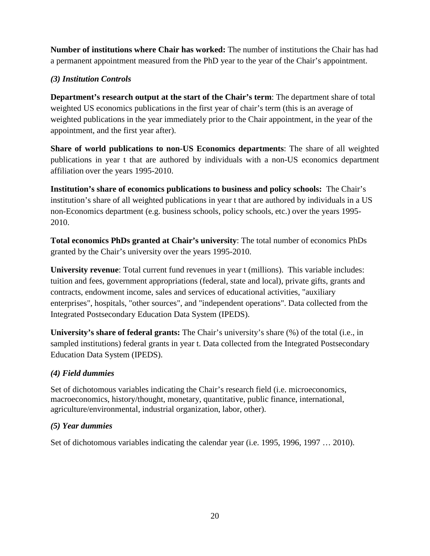**Number of institutions where Chair has worked:** The number of institutions the Chair has had a permanent appointment measured from the PhD year to the year of the Chair's appointment.

## *(3) Institution Controls*

**Department's research output at the start of the Chair's term**: The department share of total weighted US economics publications in the first year of chair's term (this is an average of weighted publications in the year immediately prior to the Chair appointment, in the year of the appointment, and the first year after).

**Share of world publications to non-US Economics departments**: The share of all weighted publications in year t that are authored by individuals with a non-US economics department affiliation over the years 1995-2010.

**Institution's share of economics publications to business and policy schools:** The Chair's institution's share of all weighted publications in year t that are authored by individuals in a US non-Economics department (e.g. business schools, policy schools, etc.) over the years 1995- 2010.

**Total economics PhDs granted at Chair's university**: The total number of economics PhDs granted by the Chair's university over the years 1995-2010.

**University revenue**: Total current fund revenues in year t (millions). This variable includes: tuition and fees, government appropriations (federal, state and local), private gifts, grants and contracts, endowment income, sales and services of educational activities, "auxiliary enterprises", hospitals, "other sources", and "independent operations". Data collected from the Integrated Postsecondary Education Data System (IPEDS).

**University's share of federal grants:** The Chair's university's share (%) of the total (i.e., in sampled institutions) federal grants in year t. Data collected from the Integrated Postsecondary Education Data System (IPEDS).

## *(4) Field dummies*

Set of dichotomous variables indicating the Chair's research field (i.e. microeconomics, macroeconomics, history/thought, monetary, quantitative, public finance, international, agriculture/environmental, industrial organization, labor, other).

## *(5) Year dummies*

Set of dichotomous variables indicating the calendar year (i.e. 1995, 1996, 1997 … 2010).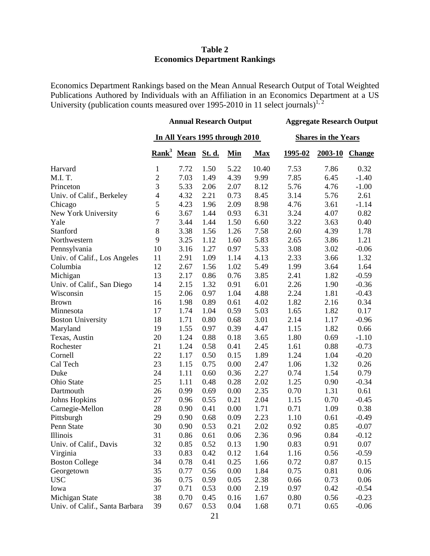#### **Table 2 Economics Department Rankings**

Economics Department Rankings based on the Mean Annual Research Output of Total Weighted Publications Authored by Individuals with an Affiliation in an Economics Department at a US University (publication counts measured over 1995-2010 in 11 select journals)<sup>1,2</sup>

|                                | <b>Annual Research Output</b>  |                        |        |      | <b>Aggregate Research Output</b> |         |         |               |
|--------------------------------|--------------------------------|------------------------|--------|------|----------------------------------|---------|---------|---------------|
|                                | In All Years 1995 through 2010 |                        |        |      | <b>Shares in the Years</b>       |         |         |               |
|                                |                                | Rank <sup>3</sup> Mean | St. d. | Min  | <b>Max</b>                       | 1995-02 | 2003-10 | <b>Change</b> |
| Harvard                        | $\mathbf{1}$                   | 7.72                   | 1.50   | 5.22 | 10.40                            | 7.53    | 7.86    | 0.32          |
| M.I.T.                         | $\overline{2}$                 | 7.03                   | 1.49   | 4.39 | 9.99                             | 7.85    | 6.45    | $-1.40$       |
| Princeton                      | $\overline{3}$                 | 5.33                   | 2.06   | 2.07 | 8.12                             | 5.76    | 4.76    | $-1.00$       |
| Univ. of Calif., Berkeley      | $\overline{\mathcal{A}}$       | 4.32                   | 2.21   | 0.73 | 8.45                             | 3.14    | 5.76    | 2.61          |
| Chicago                        | 5                              | 4.23                   | 1.96   | 2.09 | 8.98                             | 4.76    | 3.61    | $-1.14$       |
| New York University            | 6                              | 3.67                   | 1.44   | 0.93 | 6.31                             | 3.24    | 4.07    | 0.82          |
| Yale                           | 7                              | 3.44                   | 1.44   | 1.50 | 6.60                             | 3.22    | 3.63    | 0.40          |
| Stanford                       | $\,8\,$                        | 3.38                   | 1.56   | 1.26 | 7.58                             | 2.60    | 4.39    | 1.78          |
| Northwestern                   | 9                              | 3.25                   | 1.12   | 1.60 | 5.83                             | 2.65    | 3.86    | 1.21          |
| Pennsylvania                   | 10                             | 3.16                   | 1.27   | 0.97 | 5.33                             | 3.08    | 3.02    | $-0.06$       |
| Univ. of Calif., Los Angeles   | 11                             | 2.91                   | 1.09   | 1.14 | 4.13                             | 2.33    | 3.66    | 1.32          |
| Columbia                       | 12                             | 2.67                   | 1.56   | 1.02 | 5.49                             | 1.99    | 3.64    | 1.64          |
| Michigan                       | 13                             | 2.17                   | 0.86   | 0.76 | 3.85                             | 2.41    | 1.82    | $-0.59$       |
| Univ. of Calif., San Diego     | 14                             | 2.15                   | 1.32   | 0.91 | 6.01                             | 2.26    | 1.90    | $-0.36$       |
| Wisconsin                      | 15                             | 2.06                   | 0.97   | 1.04 | 4.88                             | 2.24    | 1.81    | $-0.43$       |
| <b>Brown</b>                   | 16                             | 1.98                   | 0.89   | 0.61 | 4.02                             | 1.82    | 2.16    | 0.34          |
| Minnesota                      | 17                             | 1.74                   | 1.04   | 0.59 | 5.03                             | 1.65    | 1.82    | 0.17          |
| <b>Boston University</b>       | 18                             | 1.71                   | 0.80   | 0.68 | 3.01                             | 2.14    | 1.17    | $-0.96$       |
| Maryland                       | 19                             | 1.55                   | 0.97   | 0.39 | 4.47                             | 1.15    | 1.82    | 0.66          |
| Texas, Austin                  | 20                             | 1.24                   | 0.88   | 0.18 | 3.65                             | 1.80    | 0.69    | $-1.10$       |
| Rochester                      | 21                             | 1.24                   | 0.58   | 0.41 | 2.45                             | 1.61    | 0.88    | $-0.73$       |
| Cornell                        | 22                             | 1.17                   | 0.50   | 0.15 | 1.89                             | 1.24    | 1.04    | $-0.20$       |
| Cal Tech                       | 23                             | 1.15                   | 0.75   | 0.00 | 2.47                             | 1.06    | 1.32    | 0.26          |
| Duke                           | 24                             | 1.11                   | 0.60   | 0.36 | 2.27                             | 0.74    | 1.54    | 0.79          |
| Ohio State                     | 25                             | 1.11                   | 0.48   | 0.28 | 2.02                             | 1.25    | 0.90    | $-0.34$       |
| Dartmouth                      | 26                             | 0.99                   | 0.69   | 0.00 | 2.35                             | 0.70    | 1.31    | 0.61          |
| <b>Johns Hopkins</b>           | 27                             | 0.96                   | 0.55   | 0.21 | 2.04                             | 1.15    | 0.70    | $-0.45$       |
| Carnegie-Mellon                | 28                             | 0.90                   | 0.41   | 0.00 | 1.71                             | 0.71    | 1.09    | 0.38          |
| Pittsburgh                     | 29                             | 0.90                   | 0.68   | 0.09 | 2.23                             | 1.10    | 0.61    | $-0.49$       |
| Penn State                     | 30                             | 0.90                   | 0.53   | 0.21 | 2.02                             | 0.92    | 0.85    | $-0.07$       |
| <b>Illinois</b>                | 31                             | 0.86                   | 0.61   | 0.06 | 2.36                             | 0.96    | 0.84    | $-0.12$       |
| Univ. of Calif., Davis         | 32                             | 0.85                   | 0.52   | 0.13 | 1.90                             | 0.83    | 0.91    | 0.07          |
| Virginia                       | 33                             | 0.83                   | 0.42   | 0.12 | 1.64                             | 1.16    | 0.56    | $-0.59$       |
| <b>Boston College</b>          | 34                             | 0.78                   | 0.41   | 0.25 | 1.66                             | 0.72    | 0.87    | 0.15          |
| Georgetown                     | 35                             | 0.77                   | 0.56   | 0.00 | 1.84                             | 0.75    | 0.81    | 0.06          |
| <b>USC</b>                     | 36                             | 0.75                   | 0.59   | 0.05 | 2.38                             | 0.66    | 0.73    | 0.06          |
| Iowa                           | 37                             | 0.71                   | 0.53   | 0.00 | 2.19                             | 0.97    | 0.42    | $-0.54$       |
| Michigan State                 | 38                             | 0.70                   | 0.45   | 0.16 | 1.67                             | 0.80    | 0.56    | $-0.23$       |
| Univ. of Calif., Santa Barbara | 39                             | 0.67                   | 0.53   | 0.04 | 1.68                             | 0.71    | 0.65    | $-0.06$       |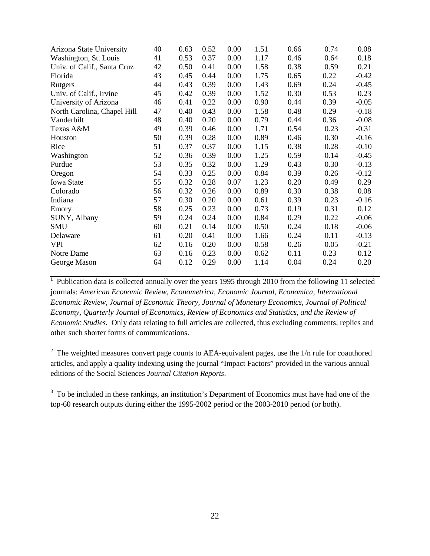| 40 | 0.63 | 0.52 | 0.00 | 1.51 | 0.66 | 0.74 | 0.08    |
|----|------|------|------|------|------|------|---------|
| 41 | 0.53 | 0.37 | 0.00 | 1.17 | 0.46 | 0.64 | 0.18    |
| 42 | 0.50 | 0.41 | 0.00 | 1.58 | 0.38 | 0.59 | 0.21    |
| 43 | 0.45 | 0.44 | 0.00 | 1.75 | 0.65 | 0.22 | $-0.42$ |
| 44 | 0.43 | 0.39 | 0.00 | 1.43 | 0.69 | 0.24 | $-0.45$ |
| 45 | 0.42 | 0.39 | 0.00 | 1.52 | 0.30 | 0.53 | 0.23    |
| 46 | 0.41 | 0.22 | 0.00 | 0.90 | 0.44 | 0.39 | $-0.05$ |
| 47 | 0.40 | 0.43 | 0.00 | 1.58 | 0.48 | 0.29 | $-0.18$ |
| 48 | 0.40 | 0.20 | 0.00 | 0.79 | 0.44 | 0.36 | $-0.08$ |
| 49 | 0.39 | 0.46 | 0.00 | 1.71 | 0.54 | 0.23 | $-0.31$ |
| 50 | 0.39 | 0.28 | 0.00 | 0.89 | 0.46 | 0.30 | $-0.16$ |
| 51 | 0.37 | 0.37 | 0.00 | 1.15 | 0.38 | 0.28 | $-0.10$ |
| 52 | 0.36 | 0.39 | 0.00 | 1.25 | 0.59 | 0.14 | $-0.45$ |
|    | 0.35 | 0.32 | 0.00 | 1.29 | 0.43 | 0.30 | $-0.13$ |
| 54 | 0.33 | 0.25 | 0.00 | 0.84 | 0.39 | 0.26 | $-0.12$ |
| 55 | 0.32 | 0.28 | 0.07 | 1.23 | 0.20 | 0.49 | 0.29    |
| 56 | 0.32 | 0.26 | 0.00 | 0.89 | 0.30 | 0.38 | 0.08    |
| 57 | 0.30 | 0.20 | 0.00 | 0.61 | 0.39 | 0.23 | $-0.16$ |
| 58 | 0.25 | 0.23 | 0.00 | 0.73 | 0.19 | 0.31 | 0.12    |
| 59 | 0.24 | 0.24 | 0.00 | 0.84 | 0.29 | 0.22 | $-0.06$ |
| 60 | 0.21 | 0.14 | 0.00 | 0.50 | 0.24 | 0.18 | $-0.06$ |
| 61 | 0.20 | 0.41 | 0.00 | 1.66 | 0.24 | 0.11 | $-0.13$ |
| 62 | 0.16 | 0.20 | 0.00 | 0.58 | 0.26 | 0.05 | $-0.21$ |
| 63 | 0.16 | 0.23 | 0.00 | 0.62 | 0.11 | 0.23 | 0.12    |
| 64 | 0.12 | 0.29 | 0.00 | 1.14 | 0.04 | 0.24 | 0.20    |
|    | 53   |      |      |      |      |      |         |

<sup>1</sup> Publication data is collected annually over the years 1995 through 2010 from the following 11 selected journals: *American Economic Review, Econometrica, Economic Journal, Economica, International Economic Review, Journal of Economic Theory, Journal of Monetary Economics, Journal of Political Economy, Quarterly Journal of Economics, Review of Economics and Statistics, and the Review of Economic Studies.* Only data relating to full articles are collected, thus excluding comments, replies and other such shorter forms of communications.

 $2\degree$  The weighted measures convert page counts to AEA-equivalent pages, use the 1/n rule for coauthored articles, and apply a quality indexing using the journal "Impact Factors" provided in the various annual editions of the Social Sciences *Journal Citation Reports*.

 $3\text{ T}$  To be included in these rankings, an institution's Department of Economics must have had one of the top-60 research outputs during either the 1995-2002 period or the 2003-2010 period (or both).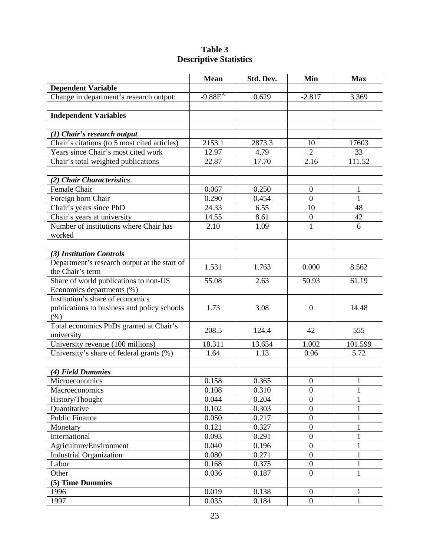| Table 3                       |
|-------------------------------|
| <b>Descriptive Statistics</b> |

|                                                 | <b>Mean</b>   | Std. Dev. | Min              | <b>Max</b>   |
|-------------------------------------------------|---------------|-----------|------------------|--------------|
| <b>Dependent Variable</b>                       |               |           |                  |              |
| Change in department's research output:         | $-9.88E^{-6}$ | 0.629     | $-2.817$         | 3.369        |
|                                                 |               |           |                  |              |
| <b>Independent Variables</b>                    |               |           |                  |              |
|                                                 |               |           |                  |              |
| (1) Chair's research output                     |               |           |                  |              |
| Chair's citations (to 5 most cited articles)    | 2153.1        | 2873.3    | 10               | 17603        |
| Years since Chair's most cited work             | 12.97         | 4.79      | $\overline{2}$   | 33           |
| Chair's total weighted publications             | 22.87         | 17.70     | 2.16             | 111.52       |
|                                                 |               |           |                  |              |
| (2) Chair Characteristics                       |               |           |                  |              |
| Female Chair                                    | 0.067         | 0.250     | $\boldsymbol{0}$ | $\mathbf{1}$ |
| Foreign born Chair                              | 0.290         | 0.454     | $\overline{0}$   | $\mathbf{1}$ |
| Chair's years since PhD                         | 24.33         | 6.55      | 10               | 48           |
| Chair's years at university                     | 14.55         | 8.61      | $\boldsymbol{0}$ | 42           |
| Number of institutions where Chair has          | 2.10          | 1.09      | $\mathbf{1}$     | 6            |
| worked                                          |               |           |                  |              |
|                                                 |               |           |                  |              |
| (3) Institution Controls                        |               |           |                  |              |
| Department's research output at the start of    | 1.531         | 1.763     | 0.000            | 8.562        |
| the Chair's term                                |               |           |                  |              |
| Share of world publications to non-US           | 55.08         | 2.63      | 50.93            | 61.19        |
| Economics departments (%)                       |               |           |                  |              |
| Institution's share of economics                |               |           |                  |              |
| publications to business and policy schools     | 1.73          | 3.08      | $\overline{0}$   | 14.48        |
| (% )<br>Total economics PhDs granted at Chair's |               |           |                  |              |
| university                                      | 208.5         | 124.4     | 42               | 555          |
| University revenue (100 millions)               | 18.311        | 13.654    | 1.002            | 101.599      |
| University's share of federal grants (%)        | 1.64          | 1.13      | 0.06             | 5.72         |
|                                                 |               |           |                  |              |
| (4) Field Dummies                               |               |           |                  |              |
| Microeconomics                                  | 0.158         | 0.365     | $\boldsymbol{0}$ | 1            |
| <b>Macroeconomics</b>                           | 0.108         | 0.310     | $\theta$         | $\mathbf{I}$ |
| History/Thought                                 | 0.044         | 0.204     | $\boldsymbol{0}$ | 1            |
| Quantitative                                    | 0.102         | 0.303     | $\overline{0}$   | $\mathbf{1}$ |
| <b>Public Finance</b>                           | 0.050         | 0.217     | $\boldsymbol{0}$ | 1            |
| Monetary                                        | 0.121         | 0.327     | $\boldsymbol{0}$ | $\mathbf{1}$ |
| International                                   | 0.093         | 0.291     | $\boldsymbol{0}$ | 1            |
| Agriculture/Environment                         | 0.040         | 0.196     | $\boldsymbol{0}$ | 1            |
| <b>Industrial Organization</b>                  | 0.080         | 0.271     | $\boldsymbol{0}$ | 1            |
| Labor                                           | 0.168         | 0.375     | $\overline{0}$   | 1            |
| Other                                           | 0.036         | 0.187     | $\boldsymbol{0}$ | $\mathbf{1}$ |
| (5) Time Dummies                                |               |           |                  |              |
| 1996                                            | 0.019         | 0.138     | $\boldsymbol{0}$ | 1            |
| 1997                                            | 0.035         | 0.184     | $\overline{0}$   | $\mathbf{1}$ |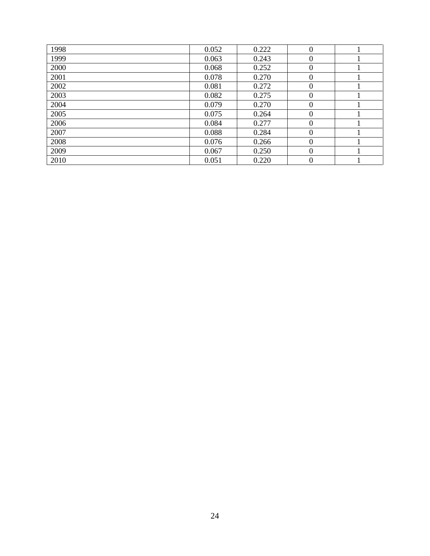| 1998 | 0.052 | 0.222 | $\theta$ |  |
|------|-------|-------|----------|--|
| 1999 | 0.063 | 0.243 | $\theta$ |  |
| 2000 | 0.068 | 0.252 | $\Omega$ |  |
| 2001 | 0.078 | 0.270 | $\Omega$ |  |
| 2002 | 0.081 | 0.272 | $\Omega$ |  |
| 2003 | 0.082 | 0.275 | $\theta$ |  |
| 2004 | 0.079 | 0.270 | $\theta$ |  |
| 2005 | 0.075 | 0.264 | $\theta$ |  |
| 2006 | 0.084 | 0.277 | $\theta$ |  |
| 2007 | 0.088 | 0.284 | $\Omega$ |  |
| 2008 | 0.076 | 0.266 | $\Omega$ |  |
| 2009 | 0.067 | 0.250 | $\theta$ |  |
| 2010 | 0.051 | 0.220 | $\theta$ |  |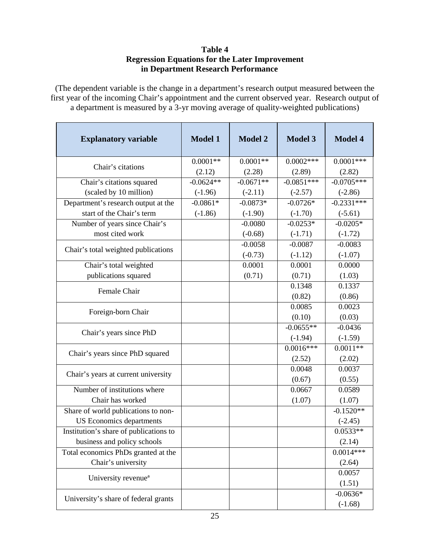#### **Table 4 Regression Equations for the Later Improvement in Department Research Performance**

(The dependent variable is the change in a department's research output measured between the first year of the incoming Chair's appointment and the current observed year. Research output of a department is measured by a 3-yr moving average of quality-weighted publications)

| <b>Explanatory variable</b>            | <b>Model 1</b>       | <b>Model 2</b>       | <b>Model 3</b>        | <b>Model 4</b>        |
|----------------------------------------|----------------------|----------------------|-----------------------|-----------------------|
| Chair's citations                      | $0.0001**$<br>(2.12) | $0.0001**$<br>(2.28) | $0.0002***$<br>(2.89) | $0.0001***$<br>(2.82) |
| Chair's citations squared              | $-0.0624**$          | $-0.0671**$          | $-0.0851***$          | $-0.0705***$          |
| (scaled by 10 million)                 | $(-1.96)$            | $(-2.11)$            | $(-2.57)$             | $(-2.86)$             |
| Department's research output at the    | $-0.0861*$           | $-0.0873*$           | $-0.0726*$            | $-0.2331***$          |
| start of the Chair's term              | $(-1.86)$            | $(-1.90)$            | $(-1.70)$             | $(-5.61)$             |
| Number of years since Chair's          |                      | $-0.0080$            | $-0.0253*$            | $-0.0205*$            |
| most cited work                        |                      | $(-0.68)$            | $(-1.71)$             | $(-1.72)$             |
|                                        |                      | $-0.0058$            | $-0.0087$             | $-0.0083$             |
| Chair's total weighted publications    |                      | $(-0.73)$            | $(-1.12)$             | $(-1.07)$             |
| Chair's total weighted                 |                      | 0.0001               | 0.0001                | 0.0000                |
| publications squared                   |                      | (0.71)               | (0.71)                | (1.03)                |
|                                        |                      |                      | 0.1348                | 0.1337                |
| Female Chair                           |                      |                      | (0.82)                | (0.86)                |
|                                        |                      |                      | 0.0085                | 0.0023                |
| Foreign-born Chair                     |                      |                      | (0.10)                | (0.03)                |
|                                        |                      |                      | $-0.0655**$           | $-0.0436$             |
| Chair's years since PhD                |                      |                      | $(-1.94)$             | $(-1.59)$             |
| Chair's years since PhD squared        |                      |                      | $0.0016***$           | $0.0011**$            |
|                                        |                      |                      | (2.52)                | (2.02)                |
| Chair's years at current university    |                      |                      | 0.0048                | 0.0037                |
|                                        |                      |                      | (0.67)                | (0.55)                |
| Number of institutions where           |                      |                      | 0.0667                | 0.0589                |
| Chair has worked                       |                      |                      | (1.07)                | (1.07)                |
| Share of world publications to non-    |                      |                      |                       | $-0.1520**$           |
| <b>US</b> Economics departments        |                      |                      |                       | $(-2.45)$             |
| Institution's share of publications to |                      |                      |                       | $0.0533**$            |
| business and policy schools            |                      |                      |                       | (2.14)                |
| Total economics PhDs granted at the    |                      |                      |                       | $0.0014***$           |
| Chair's university                     |                      |                      |                       | (2.64)                |
| University revenue <sup>a</sup>        |                      |                      |                       | 0.0057                |
|                                        |                      |                      |                       | (1.51)                |
| University's share of federal grants   |                      |                      |                       | $-0.0636*$            |
|                                        |                      |                      |                       | $(-1.68)$             |